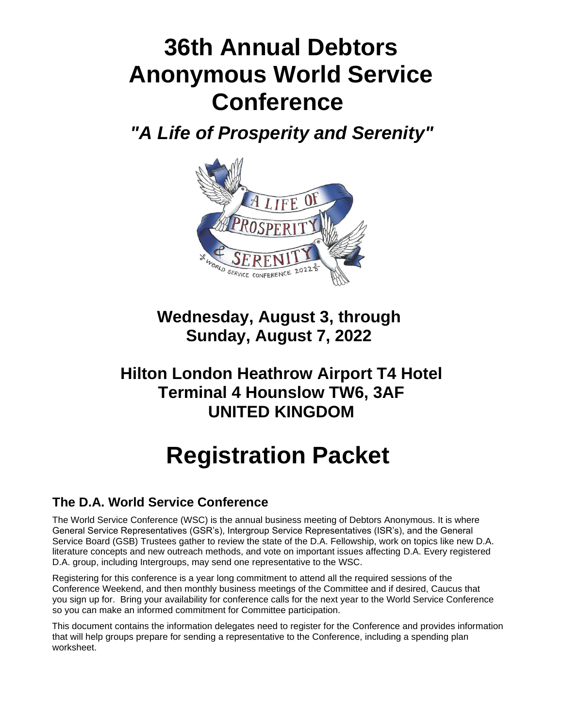# **36th Annual Debtors Anonymous World Service Conference**

*"A Life of Prosperity and Serenity"* 



**Wednesday, August 3, through Sunday, August 7, 2022**

# **Hilton London Heathrow Airport T4 Hotel Terminal 4 Hounslow TW6, 3AF UNITED KINGDOM**

# **Registration Packet**

# **The D.A. World Service Conference**

The World Service Conference (WSC) is the annual business meeting of Debtors Anonymous. It is where General Service Representatives (GSR's), Intergroup Service Representatives (ISR's), and the General Service Board (GSB) Trustees gather to review the state of the D.A. Fellowship, work on topics like new D.A. literature concepts and new outreach methods, and vote on important issues affecting D.A. Every registered D.A. group, including Intergroups, may send one representative to the WSC.

Registering for this conference is a year long commitment to attend all the required sessions of the Conference Weekend, and then monthly business meetings of the Committee and if desired, Caucus that you sign up for. Bring your availability for conference calls for the next year to the World Service Conference so you can make an informed commitment for Committee participation.

This document contains the information delegates need to register for the Conference and provides information that will help groups prepare for sending a representative to the Conference, including a spending plan worksheet.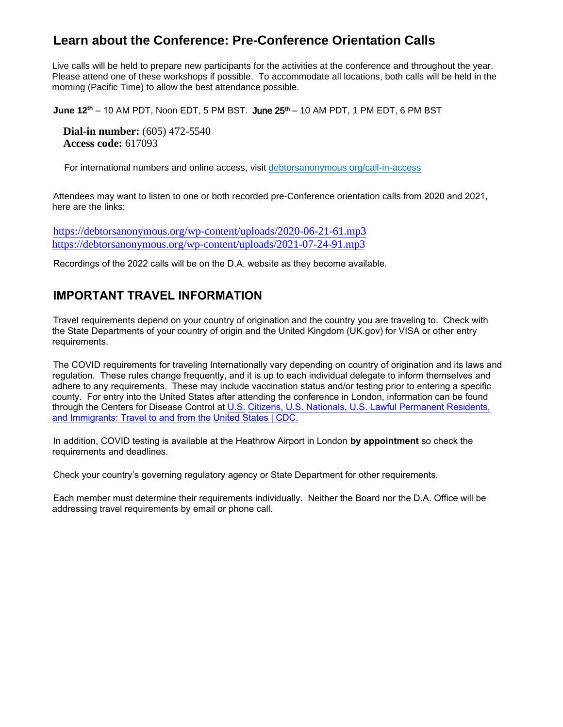## **Learn about the Conference: Pre-Conference Orientation Calls**

Live calls will be held to prepare new participants for the activities at the conference and throughout the year. Please attend one of these workshops if possible. To accommodate all locations, both calls will be held in the morning (Pacific Time) to allow the best attendance possible.

**June 12<sup>th</sup> – 10 AM PDT, Noon EDT, 5 PM BST. June 25<sup>th</sup> – 10 AM PDT, 1 PM EDT, 6 PM BST** 

**Dial-in number:** (605) 472-5540 **Access code:** 617093

For international numbers and online access, visit [debtorsanonymous.org/call-in-access](http://r20.rs6.net/tn.jsp?f=001FMntcIrsANF0QiR9xAPcxAsmTNZo854_IBBCvhsmVdY0_iJiE-t3FMzM1vup7M7CBg5nHPpCKF3eY49th08zYWXARccEl4hJ0alcHEvqKdpZJ5nk7XV6mDkF70roDARZp072Z9FwmAMmCi1-rDwkdqlDs7hAYa6xNOXUN08aLVU=&c=rKG_itFFRMNcjMS9Fo_DkeUtvSzxZI_xyT-yaRoN_YwNtjnVyPAD_w==&ch=4ocEak9hucSfFWefyExeMyZuDDMDK6vf3sPI2sBp28FncM9-i5_eKQ==)

Attendees may want to listen to one or both recorded pre-Conference orientation calls from 2020 and 2021, here are the links:

[https://debtorsanonymous.org/wp-content/uploads/2020-06-21-61.mp3](https://debtorsanonymous/) <https://debtorsanonymous.org/wp-content/uploads/2021-07-24-91.mp3>

Recordings of the 2022 calls will be on the D.A. website as they become available.

## **IMPORTANT TRAVEL INFORMATION**

Travel requirements depend on your country of origination and the country you are traveling to. Check with the State Departments of your country of origin and the United Kingdom (UK.gov) for VISA or other entry requirements.

The COVID requirements for traveling Internationally vary depending on country of origination and its laws and regulation. These rules change frequently, and it is up to each individual delegate to inform themselves and adhere to any requirements. These may include vaccination status and/or testing prior to entering a specific county. For entry into the United States after attending the conference in London, information can [be found](https://www.cdc.gov/coronavirus/2019-ncov/travelers/international-travel-during-covid19.html#anchor_1634926875393)  [through the Centers for Disease Control at U.S. Citizens, U.S. Nationals, U.S. Lawful Permanent Residents,](https://www.cdc.gov/coronavirus/2019-ncov/travelers/international-travel-during-covid19.html#anchor_1634926875393)  [and Immigrants: Travel to and from the](https://www.cdc.gov/coronavirus/2019-ncov/travelers/international-travel-during-covid19.html#anchor_1634926875393) United States | CDC.

In addition, COVID testing is available at the Heathrow Airport in London **by appointment** so check the requirements and deadlines.

Check your country's governing regulatory agency or State Department for other requirements.

Each member must determine their requirements individually. Neither the Board nor the D.A. Office will be addressing travel requirements by email or phone call.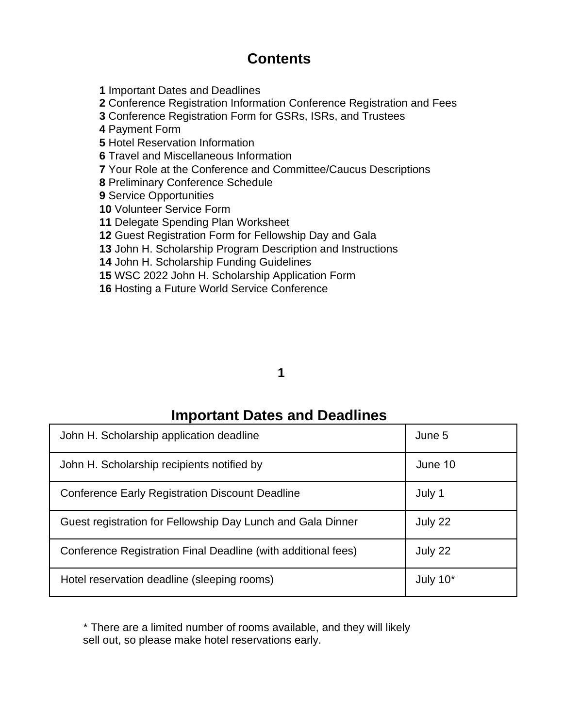# **Contents**

Important Dates and Deadlines

Conference Registration Information Conference Registration and Fees

Conference Registration Form for GSRs, ISRs, and Trustees

Payment Form

Hotel Reservation Information

Travel and Miscellaneous Information

Your Role at the Conference and Committee/Caucus Descriptions

Preliminary Conference Schedule

Service Opportunities

Volunteer Service Form

Delegate Spending Plan Worksheet

Guest Registration Form for Fellowship Day and Gala

John H. Scholarship Program Description and Instructions

John H. Scholarship Funding Guidelines

WSC 2022 John H. Scholarship Application Form

Hosting a Future World Service Conference

## 

# **Important Dates and Deadlines**

| John H. Scholarship application deadline                      | June 5      |
|---------------------------------------------------------------|-------------|
| John H. Scholarship recipients notified by                    | June 10     |
| <b>Conference Early Registration Discount Deadline</b>        | July 1      |
| Guest registration for Fellowship Day Lunch and Gala Dinner   | July 22     |
| Conference Registration Final Deadline (with additional fees) | July 22     |
| Hotel reservation deadline (sleeping rooms)                   | July $10^*$ |

\* There are a limited number of rooms available, and they will likely sell out, so please make hotel reservations early.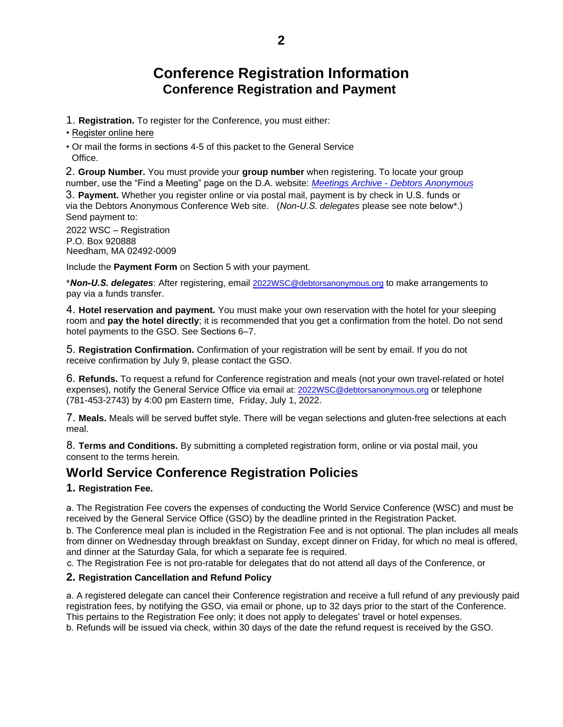# **Conference Registration Information Conference Registration and Payment**

1. **Registration.** To register for the Conference, you must either:

[• Register online](http://events.constantcontact.com/register/event?llr=souwdtbab&oeidk=a07ej5z1skoe0e6a69f) here

• Or mail the forms in sections 4-5 of this packet to the General Service Office.

2. **Group Number.** You must provide your **group number** [when registering. To locate your group](https://debtorsanonymous.org/meetings/?tsml-day=any) number, use the "Find a Meeting" page on the D.A. website: *Meetings Archive - Debtors Anonymous* 3. **Payment.** Whether you register online or via postal mail, payment is by check in U.S. funds or via the Debtors Anonymous Conference Web site. (*Non-U.S. delegates* please see note below\*.) Send payment to:

2022 WSC – Registration P.O. Box 920888 Needham, MA 02492-0009

Include the **Payment Form** on Section 5 with your payment.

\**Non-U.S. delegates*: After registering, email 2022WSC@debtorsanonymous.org to make arrangements to pay via a funds transfer.

4. **Hotel reservation and payment.** You must make your own reservation with the hotel for your sleeping room and **pay the hotel directly**; it is recommended that you get a confirmation from the hotel. Do not send hotel payments to the GSO. See Sections 6–7.

5. **Registration Confirmation.** Confirmation of your registration will be sent by email. If you do not receive confirmation by July 9, please contact the GSO.

6. **Refunds.** To request a refund for Conference registration and meals (not your own travel-related or hotel expenses), notify the General Service Office via email at: 2022WSC@debtorsanonymous.org or telephone (781-453-2743) by 4:00 pm Eastern time, Friday, July 1, 2022.

7. **Meals.** Meals will be served buffet style. There will be vegan selections and gluten-free selections at each meal.

8. **Terms and Conditions.** By submitting a completed registration form, online or via postal mail, you consent to the terms herein.

## **World Service Conference Registration Policies**

## **1. Registration Fee.**

a. The Registration Fee covers the expenses of conducting the World Service Conference (WSC) and must be received by the General Service Office (GSO) by the deadline printed in the Registration Packet.

b. The Conference meal plan is included in the Registration Fee and is not optional. The plan includes all meals from dinner on Wednesday through breakfast on Sunday, except dinner on Friday, for which no meal is offered, and dinner at the Saturday Gala, for which a separate fee is required.

c. The Registration Fee is not pro-ratable for delegates that do not attend all days of the Conference, or

## **2. Registration Cancellation and Refund Policy**

a. A registered delegate can cancel their Conference registration and receive a full refund of any previously paid registration fees, by notifying the GSO, via email or phone, up to 32 days prior to the start of the Conference. This pertains to the Registration Fee only; it does not apply to delegates' travel or hotel expenses.

b. Refunds will be issued via check, within 30 days of the date the refund request is received by the GSO.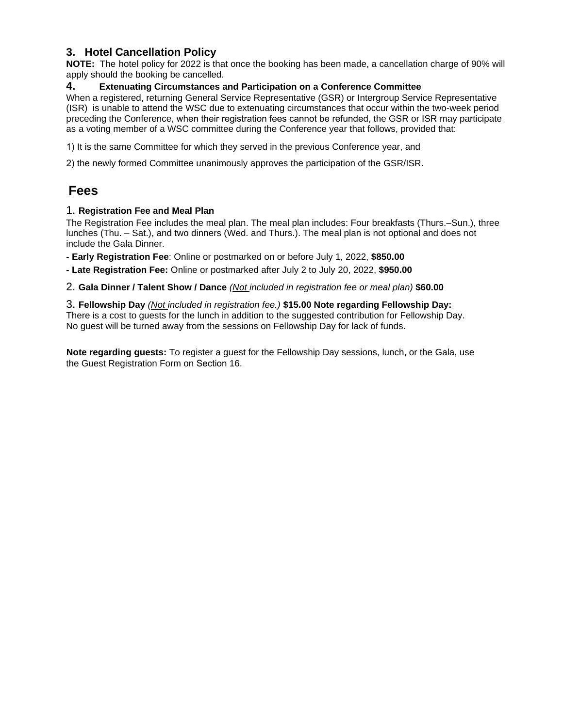## **3. Hotel Cancellation Policy**

**NOTE:** The hotel policy for 2022 is that once the booking has been made, a cancellation charge of 90% will apply should the booking be cancelled.

## **4. Extenuating Circumstances and Participation on a Conference Committee**

When a registered, returning General Service Representative (GSR) or Intergroup Service Representative (ISR) is unable to attend the WSC due to extenuating circumstances that occur within the two-week period preceding the Conference, when their registration fees cannot be refunded, the GSR or ISR may participate as a voting member of a WSC committee during the Conference year that follows, provided that:

1) It is the same Committee for which they served in the previous Conference year, and

2) the newly formed Committee unanimously approves the participation of the GSR/ISR.

## **Fees**

## 1. **Registration Fee and Meal Plan**

The Registration Fee includes the meal plan. The meal plan includes: Four breakfasts (Thurs.–Sun.), three lunches (Thu. – Sat.), and two dinners (Wed. and Thurs.). The meal plan is not optional and does not include the Gala Dinner.

**- Early Registration Fee**: Online or postmarked on or before July 1, 2022, **\$850.00**

**- Late Registration Fee:** Online or postmarked after July 2 to July 20, 2022, **\$950.00**

2. **Gala Dinner / Talent Show / Dance** *(Not included in registration fee or meal plan)* **\$60.00**

3. **Fellowship Day** *(Not included in registration fee.)* **\$15.00 Note regarding Fellowship Day:** There is a cost to guests for the lunch in addition to the suggested contribution for Fellowship Day. No guest will be turned away from the sessions on Fellowship Day for lack of funds.

**Note regarding guests:** To register a guest for the Fellowship Day sessions, lunch, or the Gala, use the Guest Registration Form on Section 16.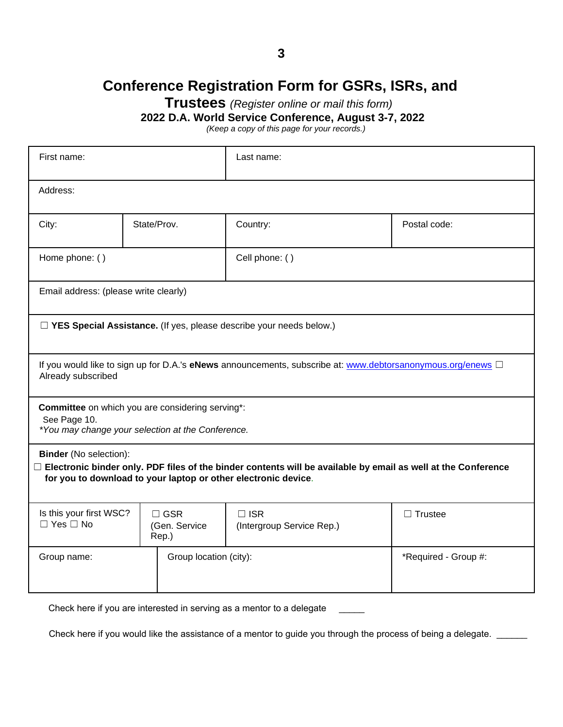# **Conference Registration Form for GSRs, ISRs, and**

**Trustees** *(Register online or mail this form)*

**2022 D.A. World Service Conference, August 3-7, 2022**

*(Keep a copy of this page for your records.)*

| First name:                                                                                                                                                                                                             |                                                                                                           |  | Last name:                                                            |              |  |  |
|-------------------------------------------------------------------------------------------------------------------------------------------------------------------------------------------------------------------------|-----------------------------------------------------------------------------------------------------------|--|-----------------------------------------------------------------------|--------------|--|--|
| Address:                                                                                                                                                                                                                |                                                                                                           |  |                                                                       |              |  |  |
| City:                                                                                                                                                                                                                   | State/Prov.                                                                                               |  | Country:                                                              | Postal code: |  |  |
| Home phone: ()<br>Cell phone: ()                                                                                                                                                                                        |                                                                                                           |  |                                                                       |              |  |  |
| Email address: (please write clearly)                                                                                                                                                                                   |                                                                                                           |  |                                                                       |              |  |  |
|                                                                                                                                                                                                                         |                                                                                                           |  | □ YES Special Assistance. (If yes, please describe your needs below.) |              |  |  |
| Already subscribed                                                                                                                                                                                                      | If you would like to sign up for D.A.'s eNews announcements, subscribe at: www.debtorsanonymous.org/enews |  |                                                                       |              |  |  |
| Committee on which you are considering serving*:<br>See Page 10.<br>*You may change your selection at the Conference.                                                                                                   |                                                                                                           |  |                                                                       |              |  |  |
| <b>Binder</b> (No selection):<br>$\Box$ Electronic binder only. PDF files of the binder contents will be available by email as well at the Conference<br>for you to download to your laptop or other electronic device. |                                                                                                           |  |                                                                       |              |  |  |
| Is this your first WSC?<br>$\Box$ GSR<br>$\Box$ ISR<br>$\Box$ Trustee<br>$\Box$ Yes $\Box$ No<br>(Gen. Service<br>(Intergroup Service Rep.)<br>Rep.)                                                                    |                                                                                                           |  |                                                                       |              |  |  |
| Group location (city):<br>Group name:                                                                                                                                                                                   |                                                                                                           |  | *Required - Group #:                                                  |              |  |  |

Check here if you are interested in serving as a mentor to a delegate

Check here if you would like the assistance of a mentor to guide you through the process of being a delegate. \_\_\_\_\_\_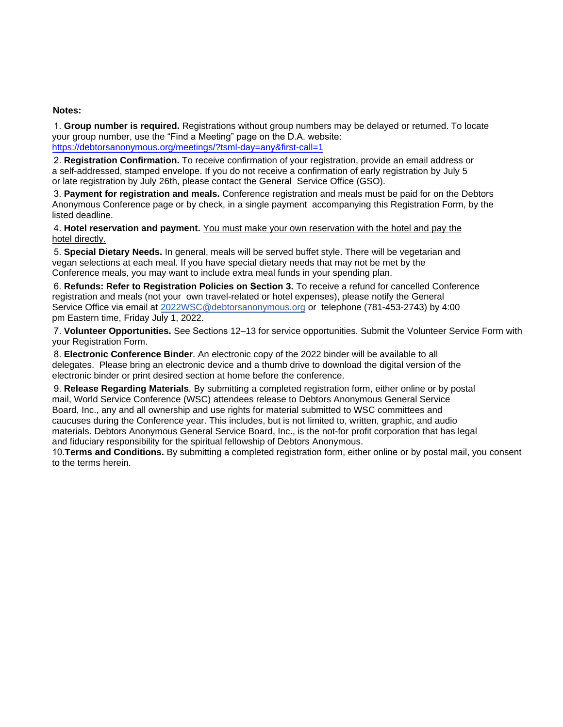#### **Notes:**

1. **Group number is required.** Registrations without group numbers may be delayed or returned. To locate your group number, use the "Find a Meeting" page on the D.A. website: [https://debtorsanonymous.org/meetings/?tsml-day=any&first-call=1](https://debtorsanonymous.org/meetings/?tsml-day=any&first-call=1%20)

2. **Registration Confirmation.** To receive confirmation of your registration, provide an email address or a self-addressed, stamped envelope. If you do not receive a confirmation of early registration by July 5 or late registration by July 26th, please contact the General Service Office (GSO).

3. **Payment for registration and meals.** Conference registration and meals must be paid for on the Debtors Anonymous Conference page or by check, in a single payment accompanying this Registration Form, by the listed deadline.

4. **Hotel reservation and payment.** You must make your own reservation with the hotel and pay the hotel directly.

5. **Special Dietary Needs.** In general, meals will be served buffet style. There will be vegetarian and vegan selections at each meal. If you have special dietary needs that may not be met by the Conference meals, you may want to include extra meal funds in your spending plan.

6. **Refunds: Refer to Registration Policies on Section 3.** To receive a refund for cancelled Conference registration and meals (not your own travel-related or hotel expenses), please notify the General Service Office via email at 2022WSC@debtorsanonymous.org or telephone (781-453-2743) by 4:00 pm Eastern time, Friday July 1, 2022.

7. **Volunteer Opportunities.** See Sections 12–13 for service opportunities. Submit the Volunteer Service Form with your Registration Form.

8. **Electronic Conference Binder**. An electronic copy of the 2022 binder will be available to all delegates. Please bring an electronic device and a thumb drive to download the digital version of the electronic binder or print desired section at home before the conference.

9. **Release Regarding Materials**. By submitting a completed registration form, either online or by postal mail, World Service Conference (WSC) attendees release to Debtors Anonymous General Service Board, Inc., any and all ownership and use rights for material submitted to WSC committees and caucuses during the Conference year. This includes, but is not limited to, written, graphic, and audio materials. Debtors Anonymous General Service Board, Inc., is the not-for profit corporation that has legal and fiduciary responsibility for the spiritual fellowship of Debtors Anonymous.

10.**Terms and Conditions.** By submitting a completed registration form, either online or by postal mail, you consent to the terms herein.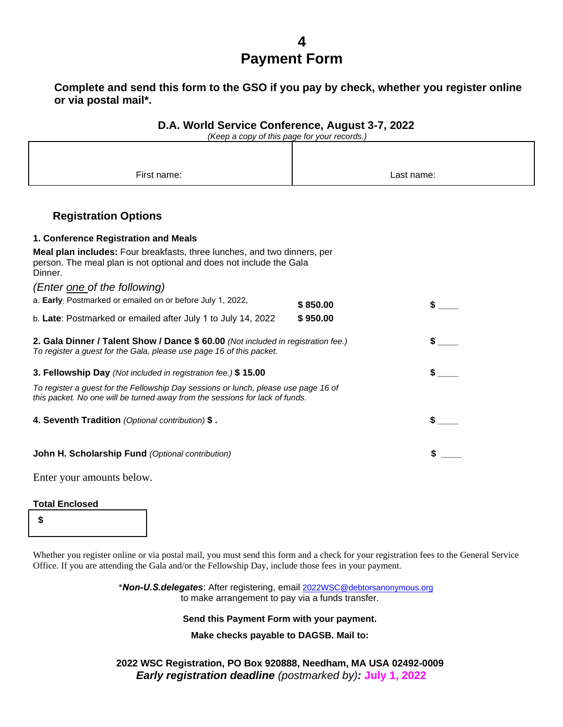# **4 Payment Form**

**Complete and send this form to the GSO if you pay by check, whether you register online or via postal mail\*.**

|  | D.A. World Service Conference, August 3-7, 2022 |
|--|-------------------------------------------------|
|--|-------------------------------------------------|

*(Keep a copy of this page for your records.)*

| First name: | Last name: |
|-------------|------------|

## **Registration Options**

| 1. Conference Registration and Meals                                                                                                                                |          |  |
|---------------------------------------------------------------------------------------------------------------------------------------------------------------------|----------|--|
| Meal plan includes: Four breakfasts, three lunches, and two dinners, per<br>person. The meal plan is not optional and does not include the Gala<br>Dinner.          |          |  |
| (Enter one of the following)                                                                                                                                        |          |  |
| a. Early: Postmarked or emailed on or before July 1, 2022,                                                                                                          | \$850.00 |  |
| b. Late: Postmarked or emailed after July 1 to July 14, 2022                                                                                                        | \$950.00 |  |
| 2. Gala Dinner / Talent Show / Dance \$ 60.00 (Not included in registration fee.)<br>To register a guest for the Gala, please use page 16 of this packet.           |          |  |
| 3. Fellowship Day (Not included in registration fee.) \$15.00                                                                                                       |          |  |
| To register a guest for the Fellowship Day sessions or lunch, please use page 16 of<br>this packet. No one will be turned away from the sessions for lack of funds. |          |  |
| 4. Seventh Tradition (Optional contribution) \$.                                                                                                                    |          |  |
| <b>John H. Scholarship Fund</b> (Optional contribution)                                                                                                             |          |  |

Enter your amounts below.

## **Total Enclosed**

**\$**

Whether you register online or via postal mail, you must send this form and a check for your registration fees to the General Service Office. If you are attending the Gala and/or the Fellowship Day, include those fees in your payment.

> \**Non-U.S.delegates*: After registering, email 2022WSC@debtorsanonymous.org to make arrangement to pay via a funds transfer.

#### **Send this Payment Form with your payment.**

**Make checks payable to DAGSB. Mail to:** 

**2022 WSC Registration, PO Box 920888, Needham, MA USA 02492-0009**  *Early registration deadline (postmarked by):* **July 1, 2022**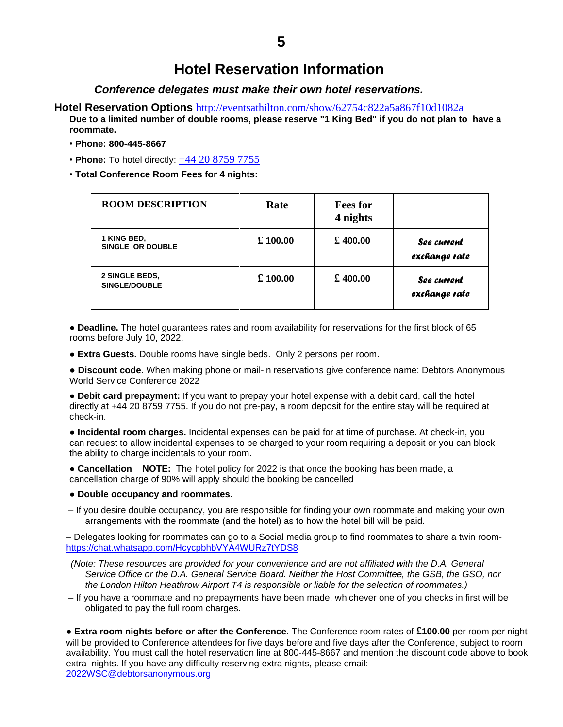# **Hotel Reservation Information**

*Conference delegates must make their own hotel reservations.* 

## **Hotel Reservation Options** http://eventsathilton.com/show/62754c822a5a867f10d1082a

**Due to a limited number of double rooms, please reserve "1 King Bed" if you do not plan to have a roommate.**

- **Phone: 800-445-8667**
- **Phone:** To hotel directly: [+44 20 8759 7755](https://www.google.com/search?q=hilton+heathrow+terminal+4&client=firefox-b-1-e&sxsrf=APq-WBvb33biErYyqqe3fAjGDupbYq3Aqw%3A1649885217490&ei=IUBXYo_AHa7EqtsPifqJ6Ac&hotel_occupancy=2&gs_ssp=eJwFwbkNgCAAAMDYGieworGW_xvBLQBBSHgMIZHxvVu38zkRmpa58Ba46ANOKgUXxCoBOaIk3BpOLi1GhImAFXPemmuPKY9WQfRmxN4-MHwvqZoM6A-m4RiR&oq=hilton+heathrow+terminal+&gs_lcp=Cgdnd3Mtd2l6EAEYAjIECCMQJzILCC4QgAQQxwEQrwEyCwguEIAEEMcBEK8BMgoILhDHARCvARBDMgUIABCABDIFCAAQgAQyCAgAEIAEEIsDMggIABCABBCLAzIICAAQgAQQiwMyCAgAEIAEEIsDOgQIABBHSgQIQRgASgQIRhgAUKEgWKEgYMEwaABwAngAgAFziAFzkgEDMC4xmAEAoAEByAEIuAEBwAEB&sclient=gws-wiz)
- **Total Conference Room Fees for 4 nights:**

| <b>ROOM DESCRIPTION</b>                | Rate    | <b>Fees for</b><br>4 nights |                              |
|----------------------------------------|---------|-----------------------------|------------------------------|
| 1 KING BED,<br><b>SINGLE OR DOUBLE</b> | £100.00 | £400.00                     | See current<br>exchange rate |
| 2 SINGLE BEDS,<br><b>SINGLE/DOUBLE</b> | £100.00 | £400.00                     | See current<br>exchange rate |

● **Deadline.** The hotel guarantees rates and room availability for reservations for the first block of 65 rooms before July 10, 2022.

● **Extra Guests.** Double rooms have single beds. Only 2 persons per room.

● **Discount code.** When making phone or mail-in reservations give conference name: Debtors Anonymous World Service Conference 2022

● **Debit card prepayment:** If you want to prepay your hotel expense with a debit card, call the hotel directly at [+44 20 8759](https://www.google.com/search?q=hilton+heathrow+terminal+4&client=firefox-b-1-e&sxsrf=APq-WBvb33biErYyqqe3fAjGDupbYq3Aqw%3A1649885217490&ei=IUBXYo_AHa7EqtsPifqJ6Ac&hotel_occupancy=2&gs_ssp=eJwFwbkNgCAAAMDYGieworGW_xvBLQBBSHgMIZHxvVu38zkRmpa58Ba46ANOKgUXxCoBOaIk3BpOLi1GhImAFXPemmuPKY9WQfRmxN4-MHwvqZoM6A-m4RiR&oq=hilton+heathrow+terminal+&gs_lcp=Cgdnd3Mtd2l6EAEYAjIECCMQJzILCC4QgAQQxwEQrwEyCwguEIAEEMcBEK8BMgoILhDHARCvARBDMgUIABCABDIFCAAQgAQyCAgAEIAEEIsDMggIABCABBCLAzIICAAQgAQQiwMyCAgAEIAEEIsDOgQIABBHSgQIQRgASgQIRhgAUKEgWKEgYMEwaABwAngAgAFziAFzkgEDMC4xmAEAoAEByAEIuAEBwAEB&sclient=gws-wiz) 7755. If you do not pre-pay, a room deposit for the entire stay will be required at check-in.

● **Incidental room charges.** Incidental expenses can be paid for at time of purchase. At check-in, you can request to allow incidental expenses to be charged to your room requiring a deposit or you can block the ability to charge incidentals to your room.

• **Cancellation NOTE:** The hotel policy for 2022 is that once the booking has been made, a cancellation charge of 90% will apply should the booking be cancelled

#### ● **Double occupancy and roommates.**

– If you desire double occupancy, you are responsible for finding your own roommate and making your own arrangements with the roommate (and the hotel) as to how the hotel bill will be paid.

– Delegates looking for roommates can go to a Social media group to find roommates to share a twin room<https://chat.whatsapp.com/HcycpbhbVYA4WURz7tYDS8>

- *(Note: These resources are provided for your convenience and are not affiliated with the D.A. General Service Office or the D.A. General Service Board. Neither the Host Committee, the GSB, the GSO, nor the London Hilton Heathrow Airport T4 is responsible or liable for the selection of roommates.)*
- If you have a roommate and no prepayments have been made, whichever one of you checks in first will be obligated to pay the full room charges.

● **Extra room nights before or after the Conference.** The Conference room rates of **£100.00** per room per night will be provided to Conference attendees for five days before and five days after the Conference, subject to room availability. You must call the hotel reservation line at 800-445-8667 and mention the discount code above to book extra nights. If you have any difficulty reserving extra nights, please email: [2022WSC@debtorsanonymous.org](2022WSC@debtorsanonymous.org%20)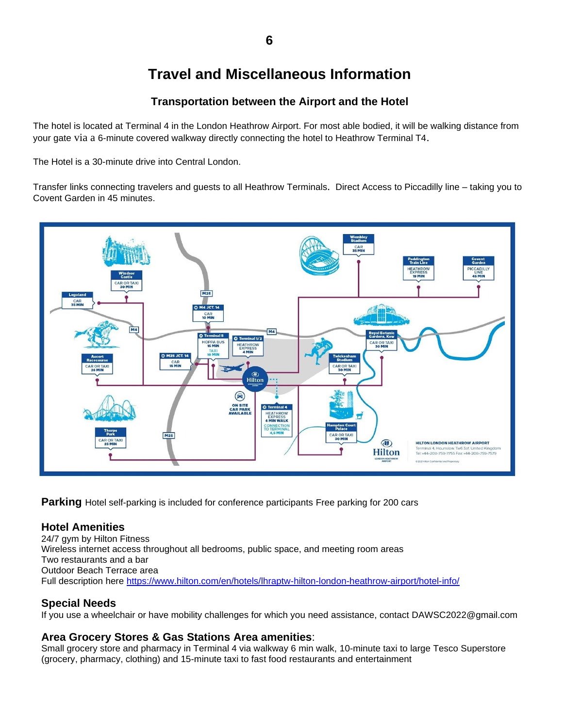# **Travel and Miscellaneous Information**

## **Transportation between the Airport and the Hotel**

The hotel is located at Terminal 4 in the London Heathrow Airport. For most able bodied, it will be walking distance from your gate via a 6-minute covered walkway directly connecting the hotel to Heathrow Terminal T4.

The Hotel is a 30-minute drive into Central London.

Transfer links connecting travelers and guests to all Heathrow Terminals. Direct Access to Piccadilly line – taking you to Covent Garden in 45 minutes.



**Parking** Hotel self-parking is included for conference participants Free parking for 200 cars

## **Hotel Amenities**

24/7 gym by Hilton Fitness Wireless internet access throughout all bedrooms, public space, and meeting room areas Two restaurants and a bar Outdoor Beach Terrace area Full description here <https://www.hilton.com/en/hotels/lhraptw-hilton-london-heathrow-airport/hotel-info/>

## **Special Needs**

If you use a wheelchair or have mobility challenges for which you need assistance, contact DAWSC2022@gmail.com

## **Area Grocery Stores & Gas Stations Area amenities**:

Small grocery store and pharmacy in Terminal 4 via walkway 6 min walk, 10-minute taxi to large Tesco Superstore (grocery, pharmacy, clothing) and 15-minute taxi to fast food restaurants and entertainment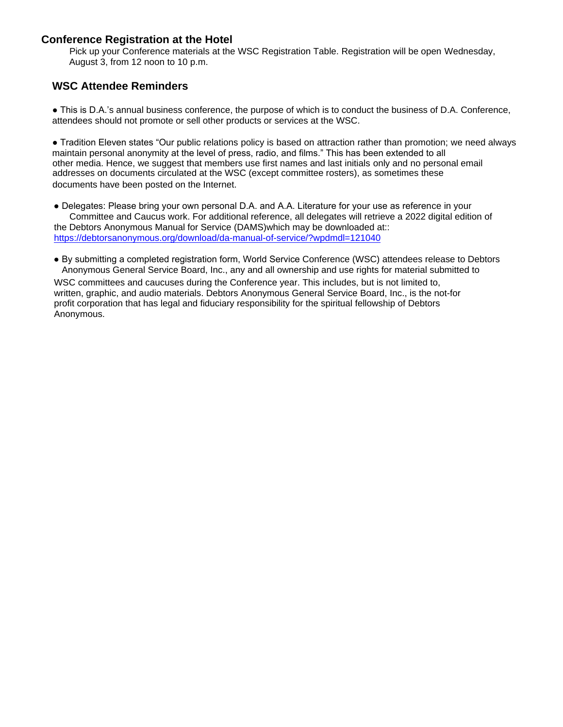## **Conference Registration at the Hotel**

Pick up your Conference materials at the WSC Registration Table. Registration will be open Wednesday, August 3, from 12 noon to 10 p.m.

## **WSC Attendee Reminders**

● This is D.A.'s annual business conference, the purpose of which is to conduct the business of D.A. Conference, attendees should not promote or sell other products or services at the WSC.

● Tradition Eleven states "Our public relations policy is based on attraction rather than promotion; we need always maintain personal anonymity at the level of press, radio, and films." This has been extended to all other media. Hence, we suggest that members use first names and last initials only and no personal email addresses on documents circulated at the WSC (except committee rosters), as sometimes these documents have been posted on the Internet.

● Delegates: Please bring your own personal D.A. and A.A. Literature for your use as reference in your Committee and Caucus work. For additional reference, all delegates will retrieve a 2022 digital edition of the Debtors Anonymous Manual for Service (DAMS)which may be downloaded at:: htt[ps://debtorsanonymous.org/download/da-manual-of-service/?wpdmdl=121040](https://debtorsanonymous.org/download/da-manual-of-service/?wpdmdl=121040)

● By submitting a completed registration form, World Service Conference (WSC) attendees release to Debtors Anonymous General Service Board, Inc., any and all ownership and use rights for material submitted to WSC committees and caucuses during the Conference year. This includes, but is not limited to, written, graphic, and audio materials. Debtors Anonymous General Service Board, Inc., is the not-for profit corporation that has legal and fiduciary responsibility for the spiritual fellowship of Debtors Anonymous.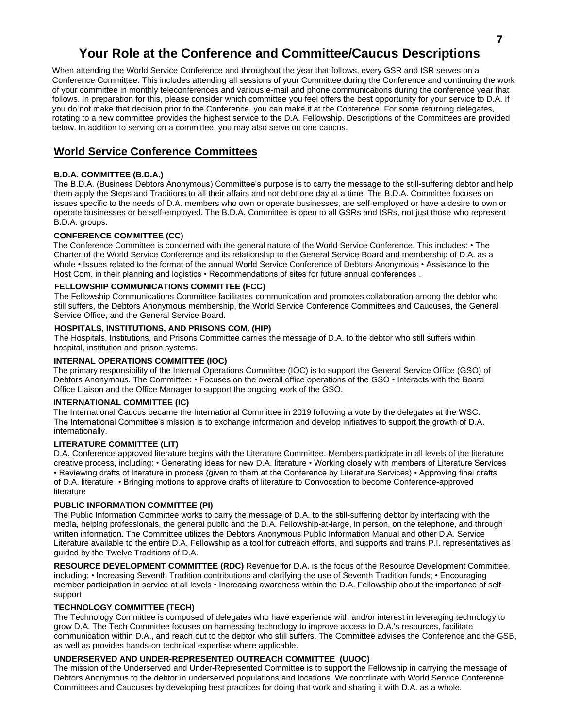## **Your Role at the Conference and Committee/Caucus Descriptions**

When attending the World Service Conference and throughout the year that follows, every GSR and ISR serves on a Conference Committee. This includes attending all sessions of your Committee during the Conference and continuing the work of your committee in monthly teleconferences and various e-mail and phone communications during the conference year that follows. In preparation for this, please consider which committee you feel offers the best opportunity for your service to D.A. If you do not make that decision prior to the Conference, you can make it at the Conference. For some returning delegates, rotating to a new committee provides the highest service to the D.A. Fellowship. Descriptions of the Committees are provided below. In addition to serving on a committee, you may also serve on one caucus.

## **World Service Conference Committees**

#### **B.D.A. COMMITTEE (B.D.A.)**

The B.D.A. (Business Debtors Anonymous) Committee's purpose is to carry the message to the still-suffering debtor and help them apply the Steps and Traditions to all their affairs and not debt one day at a time. The B.D.A. Committee focuses on issues specific to the needs of D.A. members who own or operate businesses, are self-employed or have a desire to own or operate businesses or be self-employed. The B.D.A. Committee is open to all GSRs and ISRs, not just those who represent B.D.A. groups.

#### **CONFERENCE COMMITTEE (CC)**

The Conference Committee is concerned with the general nature of the World Service Conference. This includes: • The Charter of the World Service Conference and its relationship to the General Service Board and membership of D.A. as a whole • Issues related to the format of the annual World Service Conference of Debtors Anonymous • Assistance to the Host Com. in their planning and logistics • Recommendations of sites for future annual conferences.

#### **FELLOWSHIP COMMUNICATIONS COMMITTEE (FCC)**

The Fellowship Communications Committee facilitates communication and promotes collaboration among the debtor who still suffers, the Debtors Anonymous membership, the World Service Conference Committees and Caucuses, the General Service Office, and the General Service Board.

#### **HOSPITALS, INSTITUTIONS, AND PRISONS COM. (HIP)**

The Hospitals, Institutions, and Prisons Committee carries the message of D.A. to the debtor who still suffers within hospital, institution and prison systems.

#### **INTERNAL OPERATIONS COMMITTEE (IOC)**

The primary responsibility of the Internal Operations Committee (IOC) is to support the General Service Office (GSO) of Debtors Anonymous. The Committee: • Focuses on the overall office operations of the GSO • Interacts with the Board Office Liaison and the Office Manager to support the ongoing work of the GSO.

#### **INTERNATIONAL COMMITTEE (IC)**

The International Caucus became the International Committee in 2019 following a vote by the delegates at the WSC. The International Committee's mission is to exchange information and develop initiatives to support the growth of D.A. internationally.

#### **LITERATURE COMMITTEE (LIT)**

D.A. Conference-approved literature begins with the Literature Committee. Members participate in all levels of the literature creative process, including: • Generating ideas for new D.A. literature • Working closely with members of Literature Services • Reviewing drafts of literature in process (given to them at the Conference by Literature Services) • Approving final drafts of D.A. literature • Bringing motions to approve drafts of literature to Convocation to become Conference-approved literature

#### **PUBLIC INFORMATION COMMITTEE (PI)**

The Public Information Committee works to carry the message of D.A. to the still-suffering debtor by interfacing with the media, helping professionals, the general public and the D.A. Fellowship-at-large, in person, on the telephone, and through written information. The Committee utilizes the Debtors Anonymous Public Information Manual and other D.A. Service Literature available to the entire D.A. Fellowship as a tool for outreach efforts, and supports and trains P.I. representatives as guided by the Twelve Traditions of D.A.

**RESOURCE DEVELOPMENT COMMITTEE (RDC)** Revenue for D.A. is the focus of the Resource Development Committee, including: • Increasing Seventh Tradition contributions and clarifying the use of Seventh Tradition funds; • Encouraging member participation in service at all levels • Increasing awareness within the D.A. Fellowship about the importance of selfsupport

#### **TECHNOLOGY COMMITTEE (TECH)**

The Technology Committee is composed of delegates who have experience with and/or interest in leveraging technology to grow D.A. The Tech Committee focuses on harnessing technology to improve access to D.A.'s resources, facilitate communication within D.A., and reach out to the debtor who still suffers. The Committee advises the Conference and the GSB, as well as provides hands-on technical expertise where applicable.

#### **UNDERSERVED AND UNDER-REPRESENTED OUTREACH COMMITTEE (UUOC)**

The mission of the Underserved and Under-Represented Committee is to support the Fellowship in carrying the message of Debtors Anonymous to the debtor in underserved populations and locations. We coordinate with World Service Conference Committees and Caucuses by developing best practices for doing that work and sharing it with D.A. as a whole.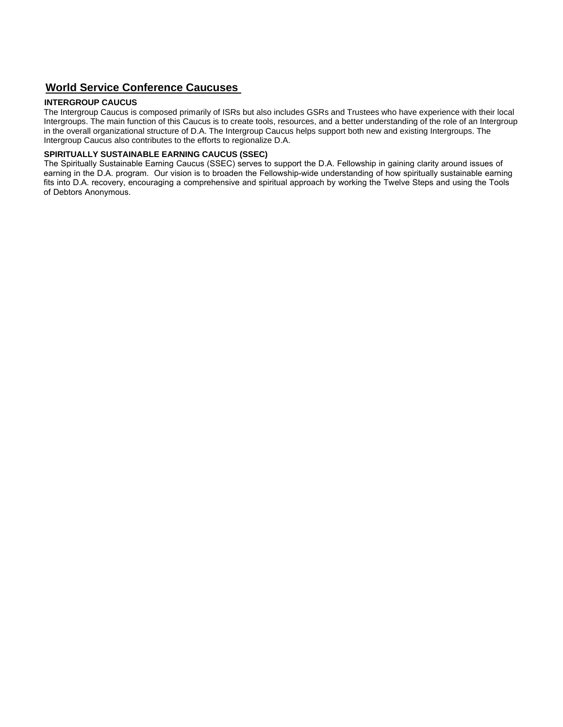## **World Service Conference Caucuses**

## **INTERGROUP CAUCUS**

The Intergroup Caucus is composed primarily of ISRs but also includes GSRs and Trustees who have experience with their local Intergroups. The main function of this Caucus is to create tools, resources, and a better understanding of the role of an Intergroup in the overall organizational structure of D.A. The Intergroup Caucus helps support both new and existing Intergroups. The Intergroup Caucus also contributes to the efforts to regionalize D.A.

#### **SPIRITUALLY SUSTAINABLE EARNING CAUCUS (SSEC)**

The Spiritually Sustainable Earning Caucus (SSEC) serves to support the D.A. Fellowship in gaining clarity around issues of earning in the D.A. program. Our vision is to broaden the Fellowship-wide understanding of how spiritually sustainable earning fits into D.A. recovery, encouraging a comprehensive and spiritual approach by working the Twelve Steps and using the Tools of Debtors Anonymous.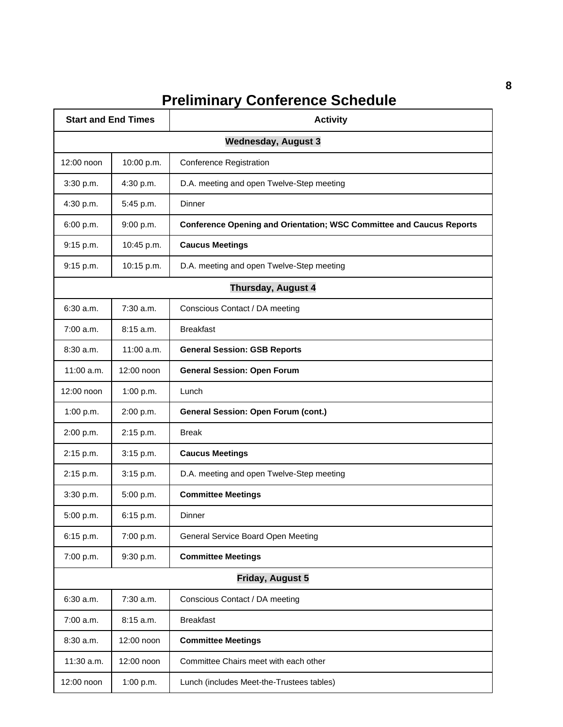# **Preliminary Conference Schedule**

| <b>Start and End Times</b> |                            | <b>Activity</b>                                                             |  |  |  |
|----------------------------|----------------------------|-----------------------------------------------------------------------------|--|--|--|
|                            | <b>Wednesday, August 3</b> |                                                                             |  |  |  |
| 12:00 noon                 | 10:00 p.m.                 | <b>Conference Registration</b>                                              |  |  |  |
| 3:30 p.m.                  | 4:30 p.m.                  | D.A. meeting and open Twelve-Step meeting                                   |  |  |  |
| 4:30 p.m.                  | 5:45 p.m.                  | Dinner                                                                      |  |  |  |
| 6:00 p.m.                  | 9:00 p.m.                  | <b>Conference Opening and Orientation; WSC Committee and Caucus Reports</b> |  |  |  |
| 9:15 p.m.                  | 10:45 p.m.                 | <b>Caucus Meetings</b>                                                      |  |  |  |
| 9:15 p.m.                  | 10:15 p.m.                 | D.A. meeting and open Twelve-Step meeting                                   |  |  |  |
|                            |                            | Thursday, August 4                                                          |  |  |  |
| 6:30 a.m.                  | $7:30$ a.m.                | Conscious Contact / DA meeting                                              |  |  |  |
| 7:00 a.m.                  | 8:15 a.m.                  | <b>Breakfast</b>                                                            |  |  |  |
| 8:30 a.m.                  | 11:00 a.m.                 | <b>General Session: GSB Reports</b>                                         |  |  |  |
| $11:00$ a.m.               | 12:00 noon                 | <b>General Session: Open Forum</b>                                          |  |  |  |
| 12:00 noon                 | 1:00 p.m.                  | Lunch                                                                       |  |  |  |
| 1:00 p.m.                  | 2:00 p.m.                  | <b>General Session: Open Forum (cont.)</b>                                  |  |  |  |
| 2:00 p.m.                  | 2:15 p.m.                  | <b>Break</b>                                                                |  |  |  |
| 2:15 p.m.                  | 3:15 p.m.                  | <b>Caucus Meetings</b>                                                      |  |  |  |
| 2:15 p.m.                  | 3:15 p.m.                  | D.A. meeting and open Twelve-Step meeting                                   |  |  |  |
| 3:30 p.m.                  | 5:00 p.m.                  | <b>Committee Meetings</b>                                                   |  |  |  |
| 5:00 p.m.                  | 6:15 p.m.                  | Dinner                                                                      |  |  |  |
| 6:15 p.m.                  | 7:00 p.m.                  | General Service Board Open Meeting                                          |  |  |  |
| 7:00 p.m.                  | 9:30 p.m.                  | <b>Committee Meetings</b>                                                   |  |  |  |
|                            |                            | <b>Friday, August 5</b>                                                     |  |  |  |
| 6:30 a.m.                  | 7:30 a.m.                  | Conscious Contact / DA meeting                                              |  |  |  |
| 7:00 a.m.                  | 8:15 a.m.                  | <b>Breakfast</b>                                                            |  |  |  |
| 8:30 a.m.                  | 12:00 noon                 | <b>Committee Meetings</b>                                                   |  |  |  |
| 11:30 a.m.                 | 12:00 noon                 | Committee Chairs meet with each other                                       |  |  |  |
| 12:00 noon                 | 1:00 p.m.                  | Lunch (includes Meet-the-Trustees tables)                                   |  |  |  |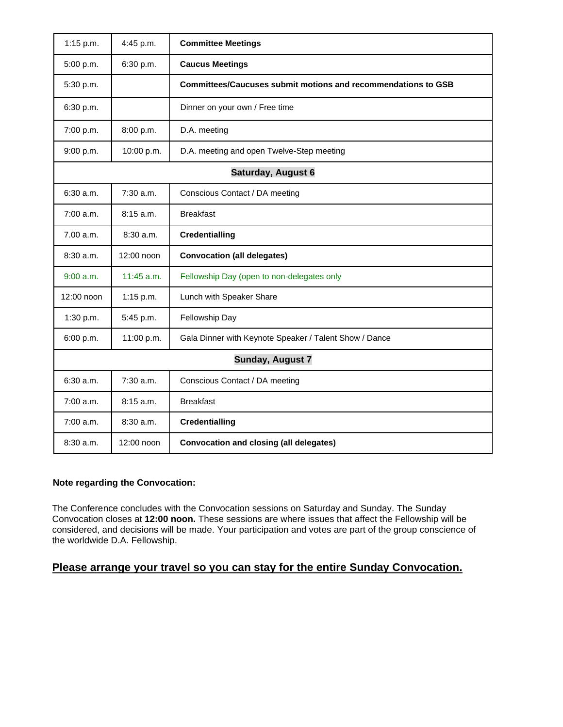| $1:15$ p.m. | 4:45 p.m.    | <b>Committee Meetings</b>                                            |
|-------------|--------------|----------------------------------------------------------------------|
| 5:00 p.m.   | 6:30 p.m.    | <b>Caucus Meetings</b>                                               |
| 5:30 p.m.   |              | <b>Committees/Caucuses submit motions and recommendations to GSB</b> |
| 6:30 p.m.   |              | Dinner on your own / Free time                                       |
| 7:00 p.m.   | 8:00 p.m.    | D.A. meeting                                                         |
| 9:00 p.m.   | 10:00 p.m.   | D.A. meeting and open Twelve-Step meeting                            |
|             |              | Saturday, August 6                                                   |
| 6:30 a.m.   | 7:30 a.m.    | Conscious Contact / DA meeting                                       |
| 7:00 a.m.   | 8:15 a.m.    | <b>Breakfast</b>                                                     |
| 7.00 a.m.   | 8:30a.m.     | <b>Credentialling</b>                                                |
| $8:30$ a.m. | 12:00 noon   | <b>Convocation (all delegates)</b>                                   |
| 9:00 a.m.   | $11:45$ a.m. | Fellowship Day (open to non-delegates only                           |
| 12:00 noon  | $1:15$ p.m.  | Lunch with Speaker Share                                             |
| 1:30 p.m.   | 5:45 p.m.    | Fellowship Day                                                       |
| 6:00 p.m.   | 11:00 p.m.   | Gala Dinner with Keynote Speaker / Talent Show / Dance               |
|             |              | <b>Sunday, August 7</b>                                              |
| 6:30 a.m.   | 7:30 a.m.    | Conscious Contact / DA meeting                                       |
| $7:00$ a.m. | 8:15 a.m.    | <b>Breakfast</b>                                                     |
| $7:00$ a.m. | 8:30a.m.     | <b>Credentialling</b>                                                |
| 8:30a.m.    | 12:00 noon   | <b>Convocation and closing (all delegates)</b>                       |

## **Note regarding the Convocation:**

The Conference concludes with the Convocation sessions on Saturday and Sunday. The Sunday Convocation closes at **12:00 noon.** These sessions are where issues that affect the Fellowship will be considered, and decisions will be made. Your participation and votes are part of the group conscience of the worldwide D.A. Fellowship.

## **Please arrange your travel so you can stay for the entire Sunday Convocation.**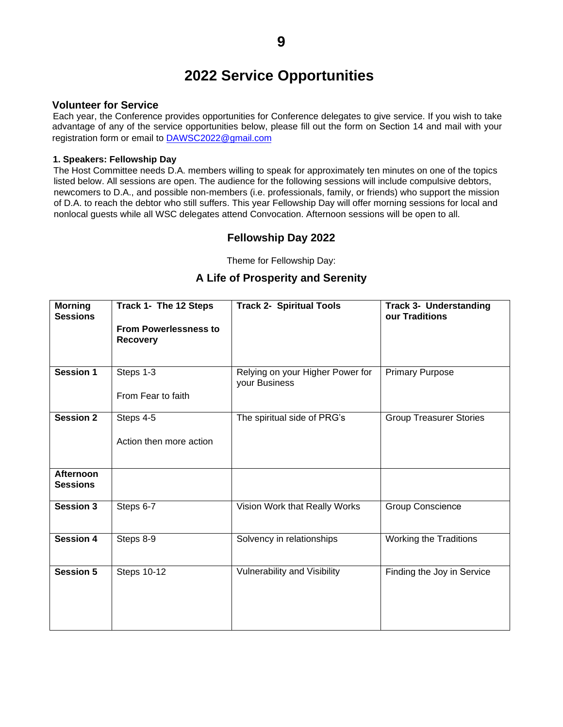# **2022 Service Opportunities**

## **Volunteer for Service**

Each year, the Conference provides opportunities for Conference delegates to give service. If you wish to take advantage of any of the service opportunities below, please fill out the form on Section 14 and mail with your registration form or email to DA[WSC2022@gmail.com](DAWSC2022@gmail.com)

## **1. Speakers: Fellowship Day**

The Host Committee needs D.A. members willing to speak for approximately ten minutes on one of the topics listed below. All sessions are open. The audience for the following sessions will include compulsive debtors, newcomers to D.A., and possible non-members (i.e. professionals, family, or friends) who support the mission of D.A. to reach the debtor who still suffers. This year Fellowship Day will offer morning sessions for local and nonlocal guests while all WSC delegates attend Convocation. Afternoon sessions will be open to all.

## **Fellowship Day 2022**

Theme for Fellowship Day:

## **A Life of Prosperity and Serenity**

| <b>Morning</b><br><b>Sessions</b> | Track 1- The 12 Steps                           | <b>Track 2- Spiritual Tools</b>                   | <b>Track 3- Understanding</b><br>our Traditions |
|-----------------------------------|-------------------------------------------------|---------------------------------------------------|-------------------------------------------------|
|                                   | <b>From Powerlessness to</b><br><b>Recovery</b> |                                                   |                                                 |
| <b>Session 1</b>                  | Steps 1-3                                       | Relying on your Higher Power for<br>your Business | <b>Primary Purpose</b>                          |
|                                   | From Fear to faith                              |                                                   |                                                 |
| <b>Session 2</b>                  | Steps 4-5                                       | The spiritual side of PRG's                       | <b>Group Treasurer Stories</b>                  |
|                                   | Action then more action                         |                                                   |                                                 |
| Afternoon<br><b>Sessions</b>      |                                                 |                                                   |                                                 |
| <b>Session 3</b>                  | Steps 6-7                                       | Vision Work that Really Works                     | <b>Group Conscience</b>                         |
| <b>Session 4</b>                  | Steps 8-9                                       | Solvency in relationships                         | Working the Traditions                          |
| <b>Session 5</b>                  | <b>Steps 10-12</b>                              | Vulnerability and Visibility                      | Finding the Joy in Service                      |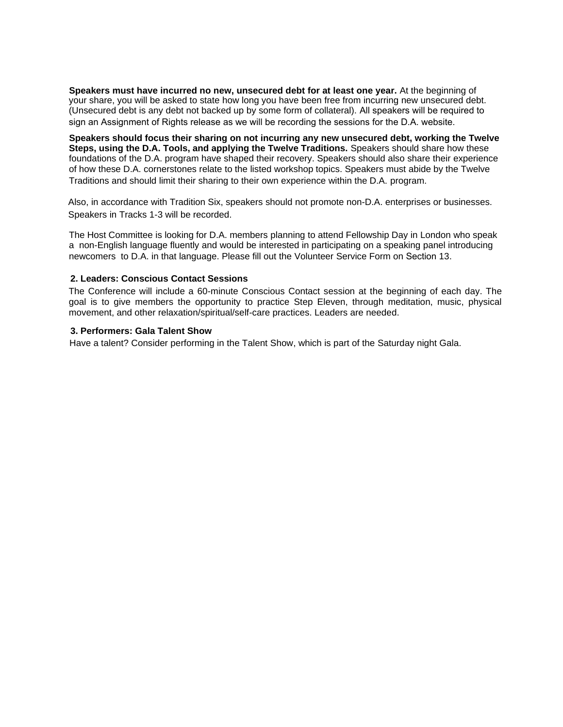**Speakers must have incurred no new, unsecured debt for at least one year.** At the beginning of your share, you will be asked to state how long you have been free from incurring new unsecured debt. (Unsecured debt is any debt not backed up by some form of collateral). All speakers will be required to sign an Assignment of Rights release as we will be recording the sessions for the D.A. website.

**Speakers should focus their sharing on not incurring any new unsecured debt, working the Twelve Steps, using the D.A. Tools, and applying the Twelve Traditions.** Speakers should share how these foundations of the D.A. program have shaped their recovery. Speakers should also share their experience of how these D.A. cornerstones relate to the listed workshop topics. Speakers must abide by the Twelve Traditions and should limit their sharing to their own experience within the D.A. program.

Also, in accordance with Tradition Six, speakers should not promote non-D.A. enterprises or businesses. Speakers in Tracks 1-3 will be recorded.

The Host Committee is looking for D.A. members planning to attend Fellowship Day in London who speak a non-English language fluently and would be interested in participating on a speaking panel introducing newcomers to D.A. in that language. Please fill out the Volunteer Service Form on Section 13.

## **2. Leaders: Conscious Contact Sessions**

The Conference will include a 60-minute Conscious Contact session at the beginning of each day. The goal is to give members the opportunity to practice Step Eleven, through meditation, music, physical movement, and other relaxation/spiritual/self-care practices. Leaders are needed.

#### **3. Performers: Gala Talent Show**

Have a talent? Consider performing in the Talent Show, which is part of the Saturday night Gala.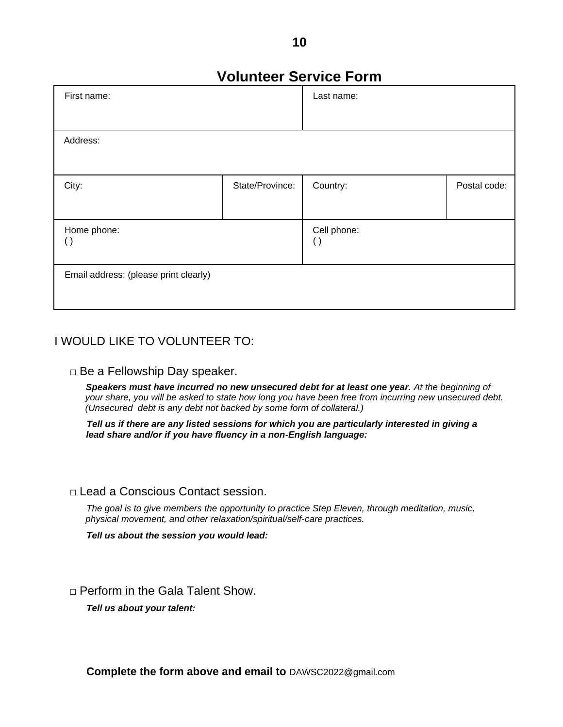# **Volunteer Service Form**

| First name:                           |                 | Last name:                        |              |
|---------------------------------------|-----------------|-----------------------------------|--------------|
|                                       |                 |                                   |              |
| Address:                              |                 |                                   |              |
|                                       |                 |                                   |              |
| City:                                 | State/Province: | Country:                          | Postal code: |
|                                       |                 |                                   |              |
| Home phone:<br>$\left(\,\right)$      |                 | Cell phone:<br>$\left( \ \right)$ |              |
|                                       |                 |                                   |              |
| Email address: (please print clearly) |                 |                                   |              |
|                                       |                 |                                   |              |

## I WOULD LIKE TO VOLUNTEER TO:

## $\Box$  Be a Fellowship Day speaker.

**Speakers must have incurred no new unsecured debt for at least one year.** At the beginning of *your share, you will be asked to state how long you have been free from incurring new unsecured debt. (Unsecured debt is any debt not backed by some form of collateral.)*

*Tell us if there are any listed sessions for which you are particularly interested in giving a lead share and/or if you have fluency in a non-English language:*

## □ Lead a Conscious Contact session.

*The goal is to give members the opportunity to practice Step Eleven, through meditation, music, physical movement, and other relaxation/spiritual/self-care practices.*

*Tell us about the session you would lead:*

 $\Box$  Perform in the Gala Talent Show.

*Tell us about your talent:*

**Complete the form above and email to** DAWSC2022@gmail.com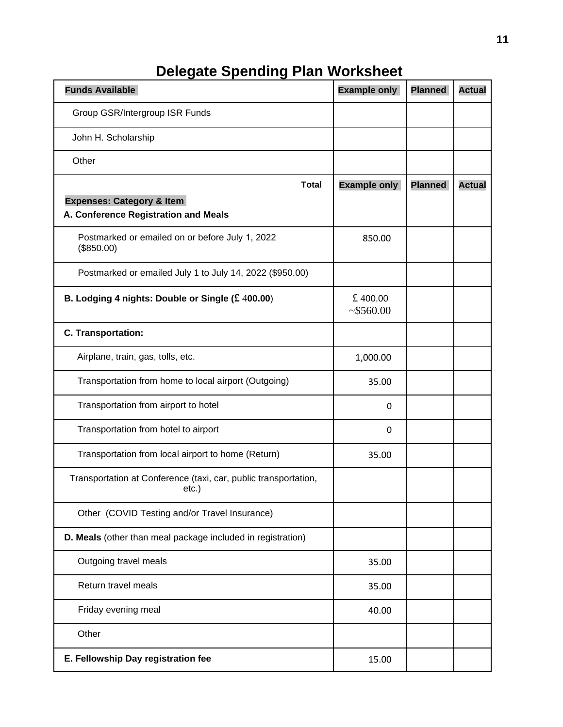# **Delegate Spending Plan Worksheet**

| <b>Funds Available</b>                                                       | <b>Example only</b> | <b>Planned</b> | <b>Actual</b> |
|------------------------------------------------------------------------------|---------------------|----------------|---------------|
| Group GSR/Intergroup ISR Funds                                               |                     |                |               |
| John H. Scholarship                                                          |                     |                |               |
| Other                                                                        |                     |                |               |
| <b>Total</b>                                                                 | <b>Example only</b> | <b>Planned</b> | <b>Actual</b> |
| <b>Expenses: Category &amp; Item</b><br>A. Conference Registration and Meals |                     |                |               |
| Postmarked or emailed on or before July 1, 2022<br>(\$850.00)                | 850.00              |                |               |
| Postmarked or emailed July 1 to July 14, 2022 (\$950.00)                     |                     |                |               |
| B. Lodging 4 nights: Double or Single $$400.00$ )                            | £400.00<br>~5560.00 |                |               |
| C. Transportation:                                                           |                     |                |               |
| Airplane, train, gas, tolls, etc.                                            | 1,000.00            |                |               |
| Transportation from home to local airport (Outgoing)                         | 35.00               |                |               |
| Transportation from airport to hotel                                         | 0                   |                |               |
| Transportation from hotel to airport                                         | 0                   |                |               |
| Transportation from local airport to home (Return)                           | 35.00               |                |               |
| Transportation at Conference (taxi, car, public transportation,<br>etc.)     |                     |                |               |
| Other (COVID Testing and/or Travel Insurance)                                |                     |                |               |
| D. Meals (other than meal package included in registration)                  |                     |                |               |
| Outgoing travel meals                                                        | 35.00               |                |               |
| Return travel meals                                                          | 35.00               |                |               |
| Friday evening meal                                                          | 40.00               |                |               |
| Other                                                                        |                     |                |               |
| E. Fellowship Day registration fee                                           | 15.00               |                |               |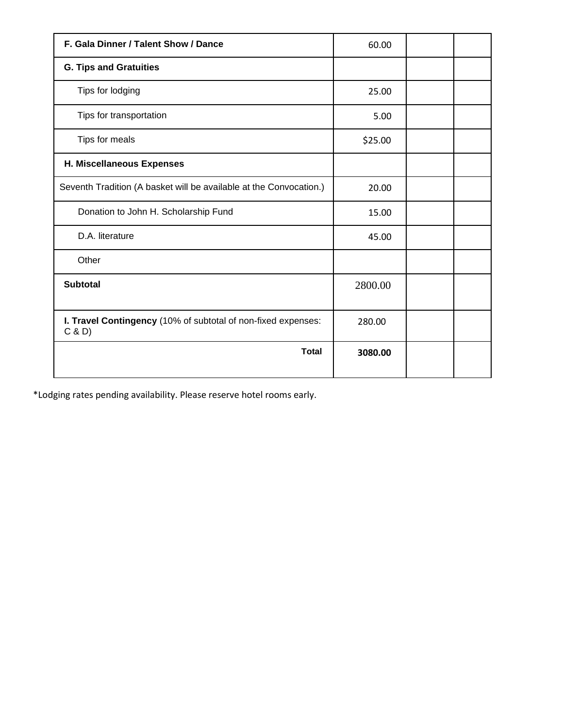| F. Gala Dinner / Talent Show / Dance                                   | 60.00   |  |
|------------------------------------------------------------------------|---------|--|
| <b>G. Tips and Gratuities</b>                                          |         |  |
| Tips for lodging                                                       | 25.00   |  |
| Tips for transportation                                                | 5.00    |  |
| Tips for meals                                                         | \$25.00 |  |
| H. Miscellaneous Expenses                                              |         |  |
| Seventh Tradition (A basket will be available at the Convocation.)     | 20.00   |  |
| Donation to John H. Scholarship Fund                                   | 15.00   |  |
| D.A. literature                                                        | 45.00   |  |
| Other                                                                  |         |  |
| <b>Subtotal</b>                                                        | 2800.00 |  |
| I. Travel Contingency (10% of subtotal of non-fixed expenses:<br>C & D | 280.00  |  |
| <b>Total</b>                                                           | 3080.00 |  |

\*Lodging rates pending availability. Please reserve hotel rooms early.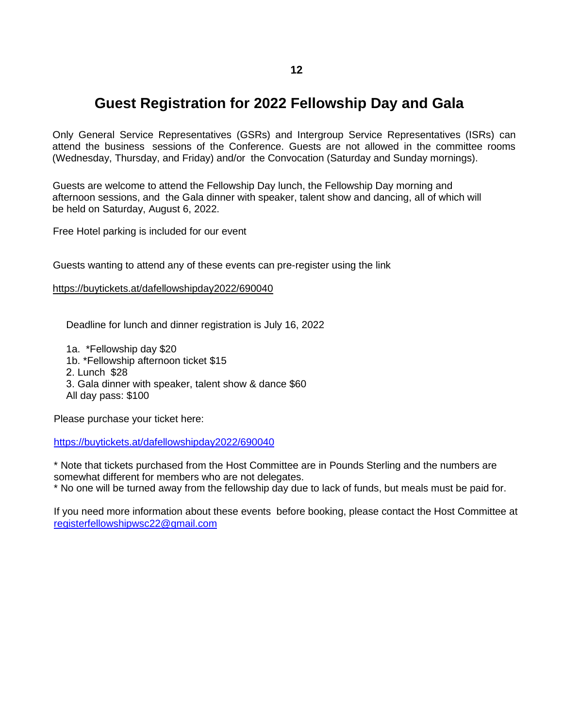# **Guest Registration for 2022 Fellowship Day and Gala**

Only General Service Representatives (GSRs) and Intergroup Service Representatives (ISRs) can attend the business sessions of the Conference. Guests are not allowed in the committee rooms (Wednesday, Thursday, and Friday) and/or the Convocation (Saturday and Sunday mornings).

Guests are welcome to attend the Fellowship Day lunch, the Fellowship Day morning and afternoon sessions, and the Gala dinner with speaker, talent show and dancing, all of which will be held on Saturday, August 6, 2022.

Free Hotel parking is included for our event

Guests wanting to attend any of these events can pre-register using the link

<https://buytickets.at/dafellowshipday2022/690040>

Deadline for lunch and dinner registration is July 16, 2022

1a. \*Fellowship day \$20

1b. \*Fellowship afternoon ticket \$15

2. Lunch \$28

3. Gala dinner with speaker, talent show & dance \$60 All day pass: \$100

[Please purchase your ticket here:](https://buytickets.at/dafellowshipday2022/690040)

<https://buytickets.at/dafellowshipday2022/690040>

\* Note that tickets purchased from the Host Committee are in Pounds Sterling and the numbers are somewhat different for members who are not delegates.

\* No one will be turned away from the fellowship day due to lack of funds, but meals must be paid for.

If you need more information about these events before booking, please contact the Host Committee at <registerfellowshipwsc22@gmail.com>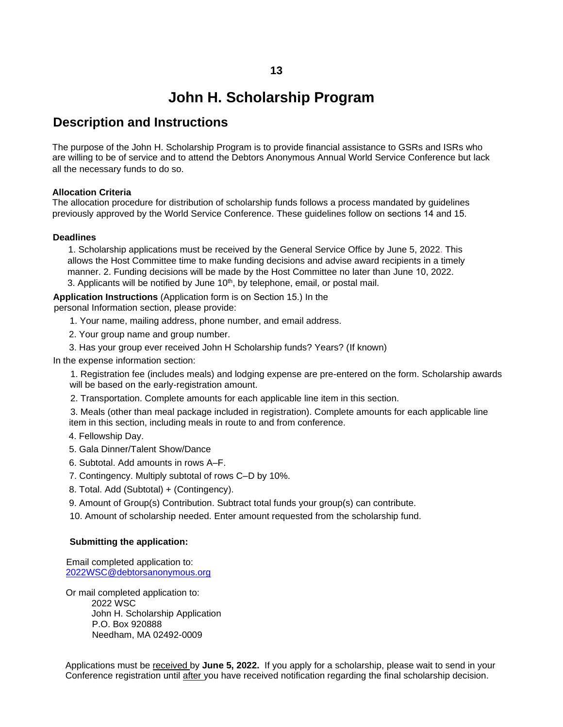# **John H. Scholarship Program**

## **Description and Instructions**

The purpose of the John H. Scholarship Program is to provide financial assistance to GSRs and ISRs who are willing to be of service and to attend the Debtors Anonymous Annual World Service Conference but lack all the necessary funds to do so.

## **Allocation Criteria**

The allocation procedure for distribution of scholarship funds follows a process mandated by guidelines previously approved by the World Service Conference. These guidelines follow on sections 14 and 15.

## **Deadlines**

1. Scholarship applications must be received by the General Service Office by June 5, 2022. This allows the Host Committee time to make funding decisions and advise award recipients in a timely manner. 2. Funding decisions will be made by the Host Committee no later than June 10, 2022. 3. Applicants will be notified by June 10<sup>th</sup>, by telephone, email, or postal mail.

**Application Instructions** (Application form is on Section 15.) In the personal Information section, please provide:

- 1. Your name, mailing address, phone number, and email address.
- 2. Your group name and group number.
- 3. Has your group ever received John H Scholarship funds? Years? (If known)
- In the expense information section:

1. Registration fee (includes meals) and lodging expense are pre-entered on the form. Scholarship awards will be based on the early-registration amount.

2. Transportation. Complete amounts for each applicable line item in this section.

3. Meals (other than meal package included in registration). Complete amounts for each applicable line item in this section, including meals in route to and from conference.

- 4. Fellowship Day.
- 5. Gala Dinner/Talent Show/Dance
- 6. Subtotal. Add amounts in rows A–F.
- 7. Contingency. Multiply subtotal of rows C–D by 10%.
- 8. Total. Add (Subtotal) + (Contingency).
- 9. Amount of Group(s) Contribution. Subtract total funds your group(s) can contribute.
- 10. Amount of scholarship needed. Enter amount requested from the scholarship fund.

#### **Submitting the application:**

Email completed application to: 2022WSC@debtorsanonymous.org

Or mail completed application to: 2022 WSC John H. Scholarship Application P.O. Box 920888 Needham, MA 02492-0009

Applications must be received by **June 5, 2022.** If you apply for a scholarship, please wait to send in your Conference registration until after you have received notification regarding the final scholarship decision.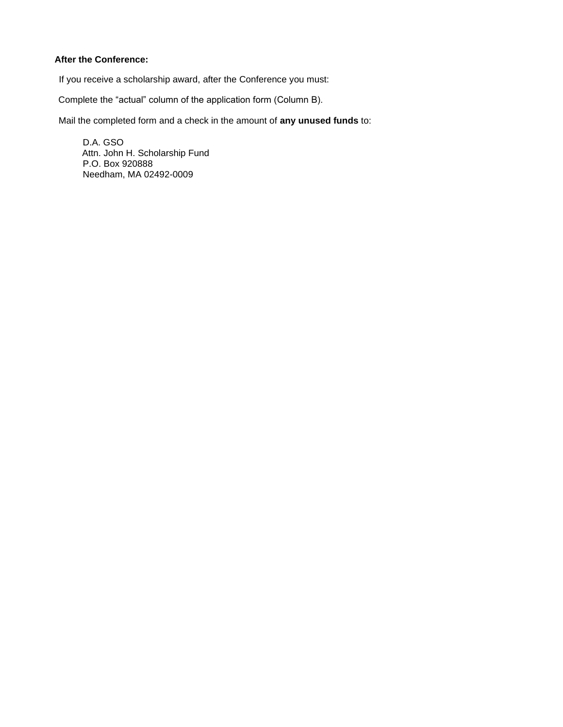## **After the Conference:**

If you receive a scholarship award, after the Conference you must:

Complete the "actual" column of the application form (Column B).

Mail the completed form and a check in the amount of **any unused funds** to:

D.A. GSO Attn. John H. Scholarship Fund P.O. Box 920888 Needham, MA 02492-0009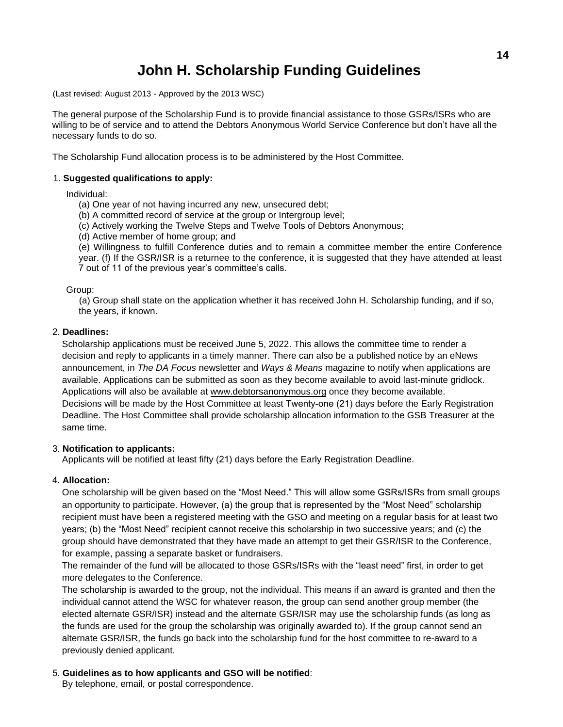# **John H. Scholarship Funding Guidelines**

(Last revised: August 2013 - Approved by the 2013 WSC)

The general purpose of the Scholarship Fund is to provide financial assistance to those GSRs/ISRs who are willing to be of service and to attend the Debtors Anonymous World Service Conference but don't have all the necessary funds to do so.

The Scholarship Fund allocation process is to be administered by the Host Committee.

## 1. **Suggested qualifications to apply:**

Individual:

- (a) One year of not having incurred any new, unsecured debt;
- (b) A committed record of service at the group or Intergroup level;
- (c) Actively working the Twelve Steps and Twelve Tools of Debtors Anonymous;
- (d) Active member of home group; and

(e) Willingness to fulfill Conference duties and to remain a committee member the entire Conference year. (f) If the GSR/ISR is a returnee to the conference, it is suggested that they have attended at least 7 out of 11 of the previous year's committee's calls.

## Group:

(a) Group shall state on the application whether it has received John H. Scholarship funding, and if so, the years, if known.

## 2. **Deadlines:**

Scholarship applications must be received June 5, 2022. This allows the committee time to render a decision and reply to applicants in a timely manner. There can also be a published notice by an eNews announcement, in *The DA Focus* newsletter and *Ways & Means* magazine to notify when applications are available. Applications can be submitted as soon as they become available to avoid last-minute gridlock. Applications will also be available at www.debtorsanonymous.org once they become available. Decisions will be made by the Host Committee at least Twenty-one (21) days before the Early Registration Deadline. The Host Committee shall provide scholarship allocation information to the GSB Treasurer at the same time.

#### 3. **Notification to applicants:**

Applicants will be notified at least fifty (21) days before the Early Registration Deadline.

#### 4. **Allocation:**

One scholarship will be given based on the "Most Need." This will allow some GSRs/ISRs from small groups an opportunity to participate. However, (a) the group that is represented by the "Most Need" scholarship recipient must have been a registered meeting with the GSO and meeting on a regular basis for at least two years; (b) the "Most Need" recipient cannot receive this scholarship in two successive years; and (c) the group should have demonstrated that they have made an attempt to get their GSR/ISR to the Conference, for example, passing a separate basket or fundraisers.

The remainder of the fund will be allocated to those GSRs/ISRs with the "least need" first, in order to get more delegates to the Conference.

The scholarship is awarded to the group, not the individual. This means if an award is granted and then the individual cannot attend the WSC for whatever reason, the group can send another group member (the elected alternate GSR/ISR) instead and the alternate GSR/ISR may use the scholarship funds (as long as the funds are used for the group the scholarship was originally awarded to). If the group cannot send an alternate GSR/ISR, the funds go back into the scholarship fund for the host committee to re-award to a previously denied applicant.

## 5. **Guidelines as to how applicants and GSO will be notified**:

By telephone, email, or postal correspondence.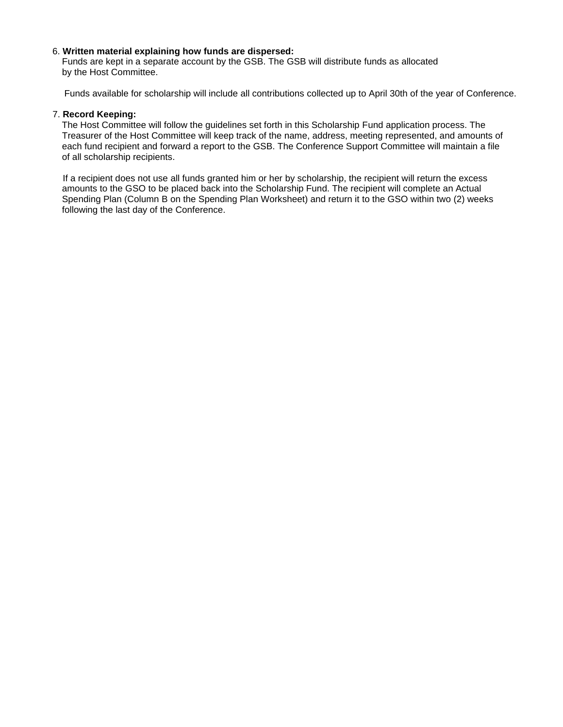### 6. **Written material explaining how funds are dispersed:**

Funds are kept in a separate account by the GSB. The GSB will distribute funds as allocated by the Host Committee.

Funds available for scholarship will include all contributions collected up to April 30th of the year of Conference.

### 7. **Record Keeping:**

The Host Committee will follow the guidelines set forth in this Scholarship Fund application process. The Treasurer of the Host Committee will keep track of the name, address, meeting represented, and amounts of each fund recipient and forward a report to the GSB. The Conference Support Committee will maintain a file of all scholarship recipients.

If a recipient does not use all funds granted him or her by scholarship, the recipient will return the excess amounts to the GSO to be placed back into the Scholarship Fund. The recipient will complete an Actual Spending Plan (Column B on the Spending Plan Worksheet) and return it to the GSO within two (2) weeks following the last day of the Conference.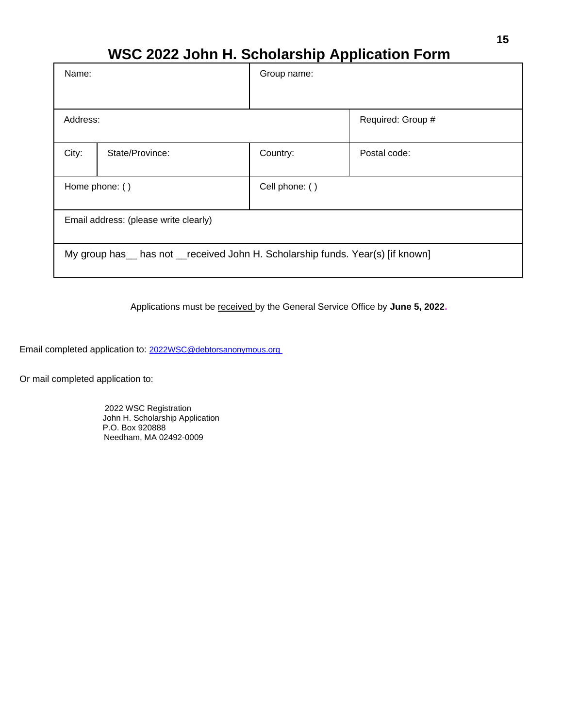# **WSC 2022 John H. Scholarship Application Form**

| Name:                                                                            |                 | Group name:    |                   |  |
|----------------------------------------------------------------------------------|-----------------|----------------|-------------------|--|
|                                                                                  |                 |                |                   |  |
| Address:                                                                         |                 |                | Required: Group # |  |
| City:                                                                            | State/Province: | Country:       | Postal code:      |  |
| Home phone: ()                                                                   |                 | Cell phone: () |                   |  |
| Email address: (please write clearly)                                            |                 |                |                   |  |
| My group has __ has not __received John H. Scholarship funds. Year(s) [if known] |                 |                |                   |  |

Applications must be received by the General Service Office by **June 5, 2022.**

Email completed application to: [2022WSC@debtorsanonymous.org](2022WSC@debtorsanonymous.org )

Or mail completed application to:

2022 WSC Registration John H. Scholarship Application P.O. Box 920888 Needham, MA 02492-0009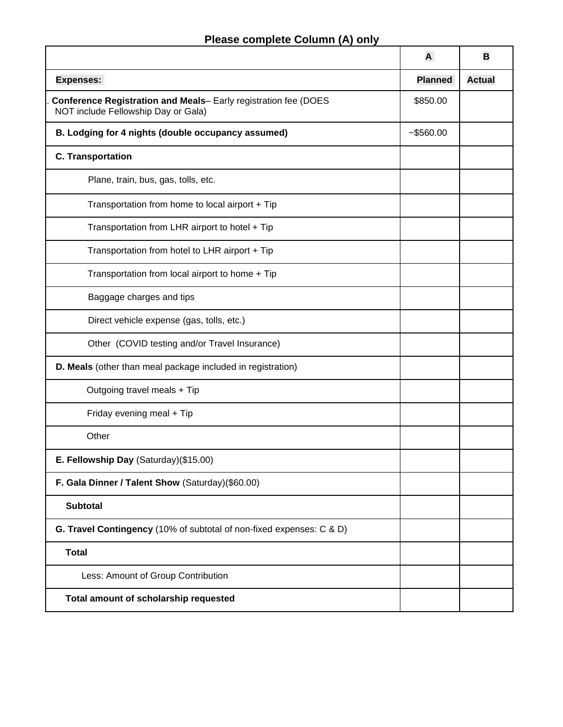# **Please complete Column (A) only**

|                                                                                                        | A              | В             |
|--------------------------------------------------------------------------------------------------------|----------------|---------------|
| <b>Expenses:</b>                                                                                       | <b>Planned</b> | <b>Actual</b> |
| Conference Registration and Meals- Early registration fee (DOES<br>NOT include Fellowship Day or Gala) |                |               |
| B. Lodging for 4 nights (double occupancy assumed)                                                     | $-$ \$560.00   |               |
| <b>C. Transportation</b>                                                                               |                |               |
| Plane, train, bus, gas, tolls, etc.                                                                    |                |               |
| Transportation from home to local airport + Tip                                                        |                |               |
| Transportation from LHR airport to hotel + Tip                                                         |                |               |
| Transportation from hotel to LHR airport + Tip                                                         |                |               |
| Transportation from local airport to home + Tip                                                        |                |               |
| Baggage charges and tips                                                                               |                |               |
| Direct vehicle expense (gas, tolls, etc.)                                                              |                |               |
| Other (COVID testing and/or Travel Insurance)                                                          |                |               |
| D. Meals (other than meal package included in registration)                                            |                |               |
| Outgoing travel meals + Tip                                                                            |                |               |
| Friday evening meal + Tip                                                                              |                |               |
| Other                                                                                                  |                |               |
| E. Fellowship Day (Saturday)(\$15.00)                                                                  |                |               |
| F. Gala Dinner / Talent Show (Saturday)(\$60.00)                                                       |                |               |
| Subtotal                                                                                               |                |               |
| G. Travel Contingency (10% of subtotal of non-fixed expenses: C & D)                                   |                |               |
| <b>Total</b>                                                                                           |                |               |
| Less: Amount of Group Contribution                                                                     |                |               |
| Total amount of scholarship requested                                                                  |                |               |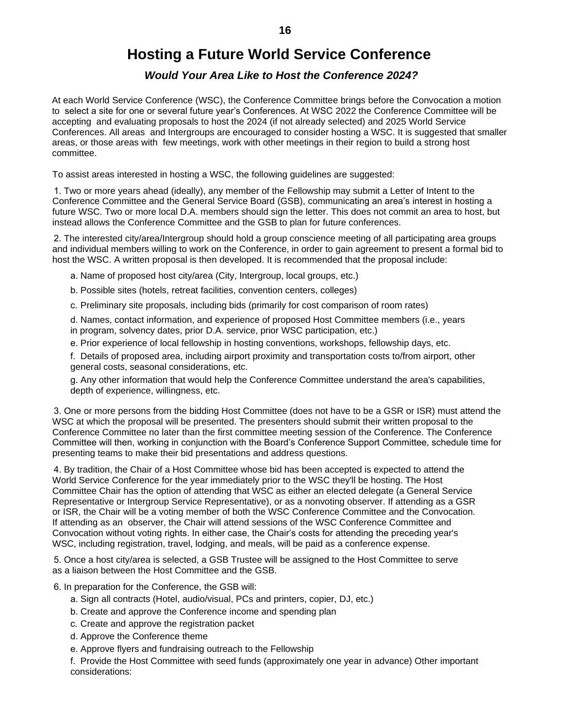# **Hosting a Future World Service Conference**

## *Would Your Area Like to Host the Conference 2024?*

At each World Service Conference (WSC), the Conference Committee brings before the Convocation a motion to select a site for one or several future year's Conferences. At WSC 2022 the Conference Committee will be accepting and evaluating proposals to host the 2024 (if not already selected) and 2025 World Service Conferences. All areas and Intergroups are encouraged to consider hosting a WSC. It is suggested that smaller areas, or those areas with few meetings, work with other meetings in their region to build a strong host committee.

To assist areas interested in hosting a WSC, the following guidelines are suggested:

1. Two or more years ahead (ideally), any member of the Fellowship may submit a Letter of Intent to the Conference Committee and the General Service Board (GSB), communicating an area's interest in hosting a future WSC. Two or more local D.A. members should sign the letter. This does not commit an area to host, but instead allows the Conference Committee and the GSB to plan for future conferences.

2. The interested city/area/Intergroup should hold a group conscience meeting of all participating area groups and individual members willing to work on the Conference, in order to gain agreement to present a formal bid to host the WSC. A written proposal is then developed. It is recommended that the proposal include:

a. Name of proposed host city/area (City, Intergroup, local groups, etc.)

b. Possible sites (hotels, retreat facilities, convention centers, colleges)

c. Preliminary site proposals, including bids (primarily for cost comparison of room rates)

d. Names, contact information, and experience of proposed Host Committee members (i.e., years in program, solvency dates, prior D.A. service, prior WSC participation, etc.)

e. Prior experience of local fellowship in hosting conventions, workshops, fellowship days, etc.

f. Details of proposed area, including airport proximity and transportation costs to/from airport, other general costs, seasonal considerations, etc.

g. Any other information that would help the Conference Committee understand the area's capabilities, depth of experience, willingness, etc.

3. One or more persons from the bidding Host Committee (does not have to be a GSR or ISR) must attend the WSC at which the proposal will be presented. The presenters should submit their written proposal to the Conference Committee no later than the first committee meeting session of the Conference. The Conference Committee will then, working in conjunction with the Board's Conference Support Committee, schedule time for presenting teams to make their bid presentations and address questions.

4. By tradition, the Chair of a Host Committee whose bid has been accepted is expected to attend the World Service Conference for the year immediately prior to the WSC they'll be hosting. The Host Committee Chair has the option of attending that WSC as either an elected delegate (a General Service Representative or Intergroup Service Representative), or as a nonvoting observer. If attending as a GSR or ISR, the Chair will be a voting member of both the WSC Conference Committee and the Convocation. If attending as an observer, the Chair will attend sessions of the WSC Conference Committee and Convocation without voting rights. In either case, the Chair's costs for attending the preceding year's WSC, including registration, travel, lodging, and meals, will be paid as a conference expense.

5. Once a host city/area is selected, a GSB Trustee will be assigned to the Host Committee to serve as a liaison between the Host Committee and the GSB.

6. In preparation for the Conference, the GSB will:

- a. Sign all contracts (Hotel, audio/visual, PCs and printers, copier, DJ, etc.)
- b. Create and approve the Conference income and spending plan
- c. Create and approve the registration packet
- d. Approve the Conference theme
- e. Approve flyers and fundraising outreach to the Fellowship

f. Provide the Host Committee with seed funds (approximately one year in advance) Other important considerations: